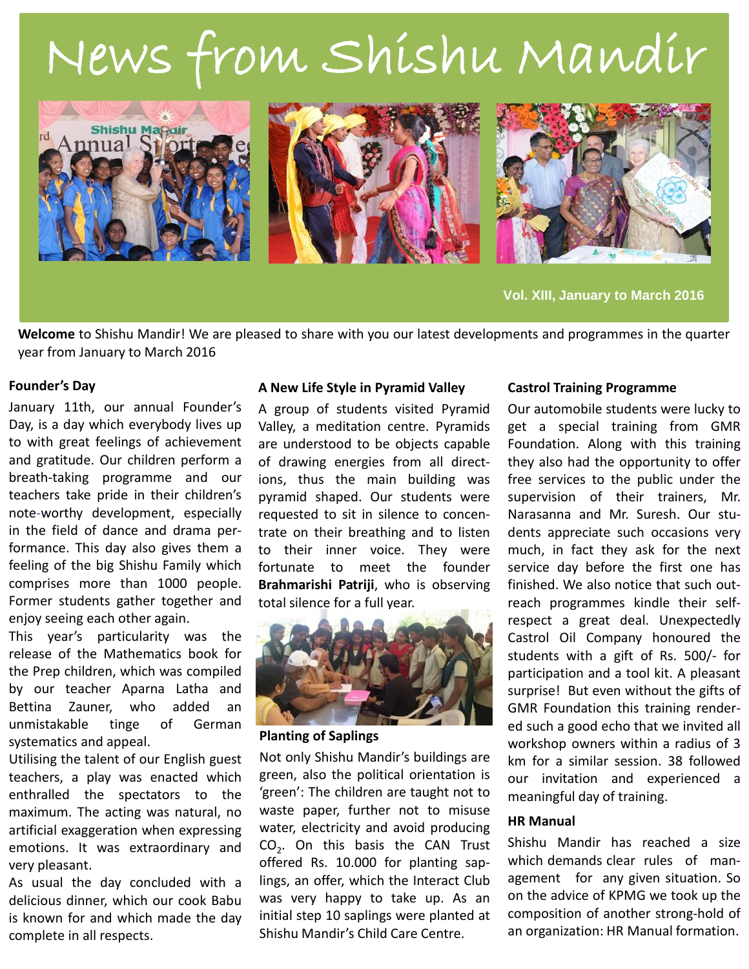# News from Shishu Mandir



**Vol. XIII, January to March 2016**

**Welcome** to Shishu Mandir! We are pleased to share with you our latest developments and programmes in the quarter year from January to March 2016

## **Founder's Day**

January 11th, our annual Founder's Day, is a day which everybody lives up to with great feelings of achievement and gratitude. Our children perform a breath-taking programme and our teachers take pride in their children's note-worthy development, especially in the field of dance and drama performance. This day also gives them a feeling of the big Shishu Family which comprises more than 1000 people. Former students gather together and enjoy seeing each other again.

This year's particularity was the release of the Mathematics book for the Prep children, which was compiled by our teacher Aparna Latha and Bettina Zauner, who added an unmistakable tinge of German systematics and appeal.

Utilising the talent of our English guest teachers, a play was enacted which enthralled the spectators to the maximum. The acting was natural, no artificial exaggeration when expressing emotions. It was extraordinary and very pleasant.

As usual the day concluded with a delicious dinner, which our cook Babu is known for and which made the day complete in all respects.

## **A New Life Style in Pyramid Valley**

A group of students visited Pyramid Valley, a meditation centre. Pyramids are understood to be objects capable of drawing energies from all directions, thus the main building was pyramid shaped. Our students were requested to sit in silence to concentrate on their breathing and to listen to their inner voice. They were fortunate to meet the founder **Brahmarishi Patriji**, who is observing total silence for a full year.



**Planting of Saplings**

Not only Shishu Mandir's buildings are green, also the political orientation is 'green': The children are taught not to waste paper, further not to misuse water, electricity and avoid producing  $CO<sub>2</sub>$ . On this basis the CAN Trust offered Rs. 10.000 for planting saplings, an offer, which the Interact Club was very happy to take up. As an initial step 10 saplings were planted at Shishu Mandir's Child Care Centre.

## **Castrol Training Programme**

Our automobile students were lucky to get a special training from GMR Foundation. Along with this training they also had the opportunity to offer free services to the public under the supervision of their trainers, Mr. Narasanna and Mr. Suresh. Our students appreciate such occasions very much, in fact they ask for the next service day before the first one has finished. We also notice that such outreach programmes kindle their selfrespect a great deal. Unexpectedly Castrol Oil Company honoured the students with a gift of Rs. 500/- for participation and a tool kit. A pleasant surprise! But even without the gifts of GMR Foundation this training rendered such a good echo that we invited all workshop owners within a radius of 3 km for a similar session. 38 followed our invitation and experienced a meaningful day of training.

## **HR Manual**

Shishu Mandir has reached a size which demands clear rules of management for any given situation. So on the advice of KPMG we took up the composition of another strong-hold of an organization: HR Manual formation.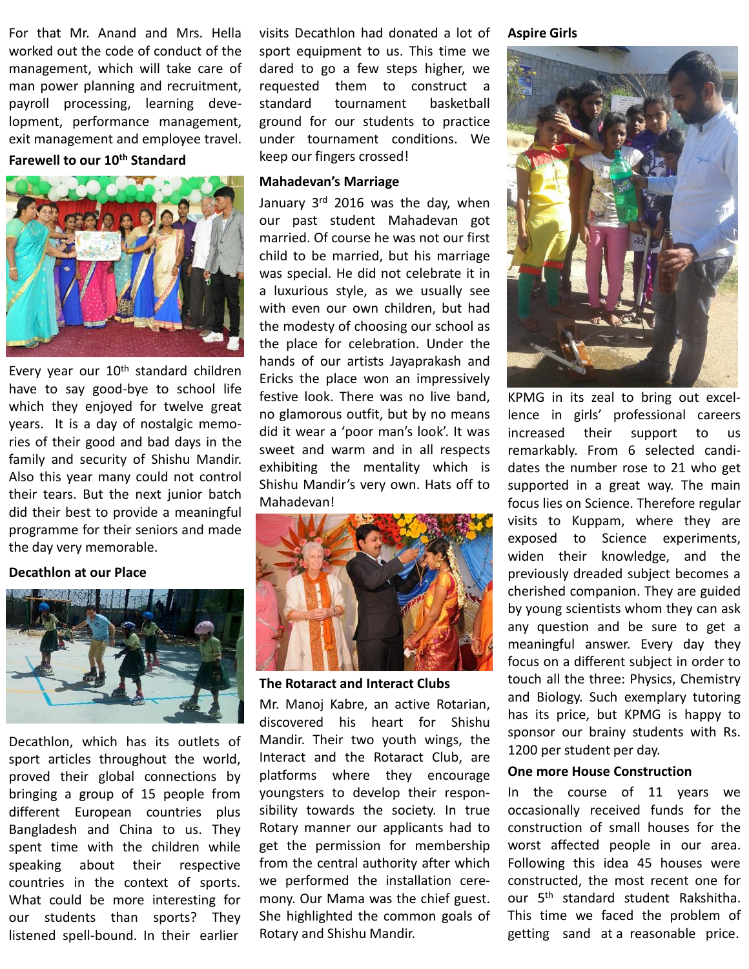For that Mr. Anand and Mrs. Hella worked out the code of conduct of the management, which will take care of man power planning and recruitment, payroll processing, learning development, performance management, exit management and employee travel.

# **Farewell to our 10th Standard**



Every year our 10<sup>th</sup> standard children have to say good-bye to school life which they enjoyed for twelve great years. It is a day of nostalgic memories of their good and bad days in the family and security of Shishu Mandir. Also this year many could not control their tears. But the next junior batch did their best to provide a meaningful programme for their seniors and made the day very memorable.

## **Decathlon at our Place**



Decathlon, which has its outlets of sport articles throughout the world, proved their global connections by bringing a group of 15 people from different European countries plus Bangladesh and China to us. They spent time with the children while speaking about their respective countries in the context of sports. What could be more interesting for our students than sports? They listened spell-bound. In their earlier

visits Decathlon had donated a lot of sport equipment to us. This time we dared to go a few steps higher, we requested them to construct a standard tournament basketball ground for our students to practice under tournament conditions. We keep our fingers crossed!

## **Mahadevan's Marriage**

January 3<sup>rd</sup> 2016 was the day, when our past student Mahadevan got married. Of course he was not our first child to be married, but his marriage was special. He did not celebrate it in a luxurious style, as we usually see with even our own children, but had the modesty of choosing our school as the place for celebration. Under the hands of our artists Jayaprakash and Ericks the place won an impressively festive look. There was no live band, no glamorous outfit, but by no means did it wear a 'poor man's look'. It was sweet and warm and in all respects exhibiting the mentality which is Shishu Mandir's very own. Hats off to Mahadevan!



**The Rotaract and Interact Clubs**

Mr. Manoj Kabre, an active Rotarian, discovered his heart for Shishu Mandir. Their two youth wings, the Interact and the Rotaract Club, are platforms where they encourage youngsters to develop their responsibility towards the society. In true Rotary manner our applicants had to get the permission for membership from the central authority after which we performed the installation ceremony. Our Mama was the chief guest. She highlighted the common goals of Rotary and Shishu Mandir.

## **Aspire Girls**



KPMG in its zeal to bring out excellence in girls' professional careers increased their support to us remarkably. From 6 selected candidates the number rose to 21 who get supported in a great way. The main focus lies on Science. Therefore regular visits to Kuppam, where they are exposed to Science experiments, widen their knowledge, and the previously dreaded subject becomes a cherished companion. They are guided by young scientists whom they can ask any question and be sure to get a meaningful answer. Every day they focus on a different subject in order to touch all the three: Physics, Chemistry and Biology. Such exemplary tutoring has its price, but KPMG is happy to sponsor our brainy students with Rs. 1200 per student per day.

#### **One more House Construction**

In the course of 11 years we occasionally received funds for the construction of small houses for the worst affected people in our area. Following this idea 45 houses were constructed, the most recent one for our 5<sup>th</sup> standard student Rakshitha. This time we faced the problem of getting sand at a reasonable price.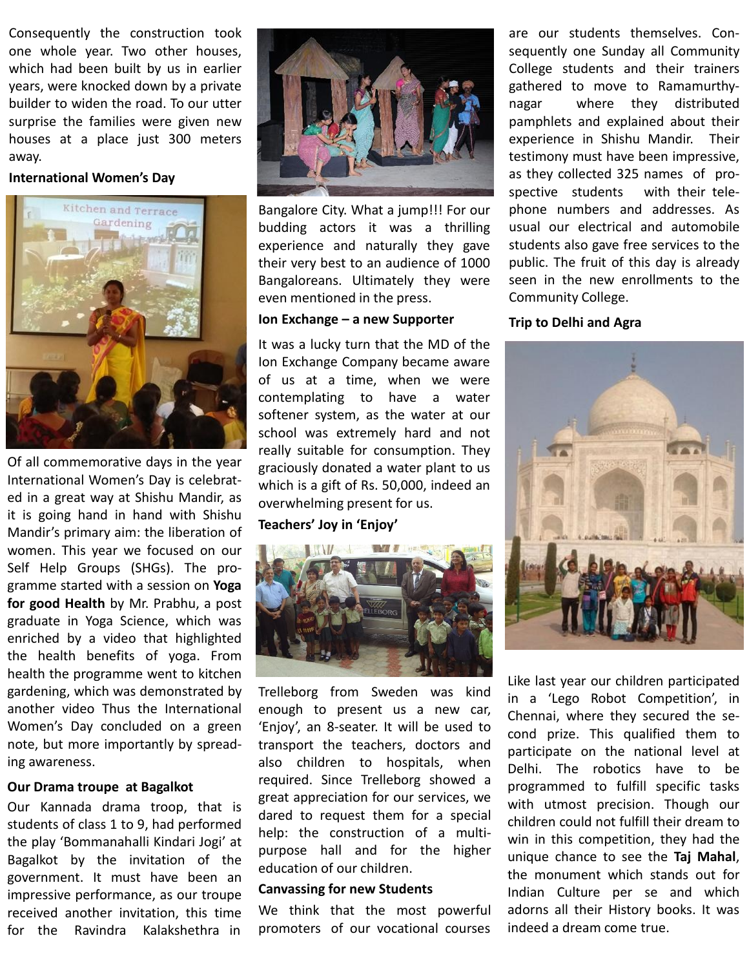Consequently the construction took one whole year. Two other houses, which had been built by us in earlier years, were knocked down by a private builder to widen the road. To our utter surprise the families were given new houses at a place just 300 meters away.

## **International Women's Day**



Of all commemorative days in the year International Women's Day is celebrated in a great way at Shishu Mandir, as it is going hand in hand with Shishu Mandir's primary aim: the liberation of women. This year we focused on our Self Help Groups (SHGs). The programme started with a session on **Yoga for good Health** by Mr. Prabhu, a post graduate in Yoga Science, which was enriched by a video that highlighted the health benefits of yoga. From health the programme went to kitchen gardening, which was demonstrated by another video Thus the International Women's Day concluded on a green note, but more importantly by spreading awareness.

## **Our Drama troupe at Bagalkot**

Our Kannada drama troop, that is students of class 1 to 9, had performed the play 'Bommanahalli Kindari Jogi' at Bagalkot by the invitation of the government. It must have been an impressive performance, as our troupe received another invitation, this time for the Ravindra Kalakshethra in



Bangalore City. What a jump!!! For our budding actors it was a thrilling experience and naturally they gave their very best to an audience of 1000 Bangaloreans. Ultimately they were even mentioned in the press.

## **Ion Exchange – a new Supporter**

It was a lucky turn that the MD of the Ion Exchange Company became aware of us at a time, when we were contemplating to have a water softener system, as the water at our school was extremely hard and not really suitable for consumption. They graciously donated a water plant to us which is a gift of Rs. 50,000, indeed an overwhelming present for us.

# **Teachers' Joy in 'Enjoy'**



Trelleborg from Sweden was kind enough to present us a new car, 'Enjoy', an 8-seater. It will be used to transport the teachers, doctors and also children to hospitals, when required. Since Trelleborg showed a great appreciation for our services, we dared to request them for a special help: the construction of a multipurpose hall and for the higher education of our children.

# **Canvassing for new Students**

We think that the most powerful promoters of our vocational courses

are our students themselves. Consequently one Sunday all Community College students and their trainers gathered to move to Ramamurthynagar where they distributed pamphlets and explained about their experience in Shishu Mandir. Their testimony must have been impressive, as they collected 325 names of prospective students with their telephone numbers and addresses. As usual our electrical and automobile students also gave free services to the public. The fruit of this day is already seen in the new enrollments to the Community College.

## **Trip to Delhi and Agra**



Like last year our children participated in a 'Lego Robot Competition', in Chennai, where they secured the second prize. This qualified them to participate on the national level at Delhi. The robotics have to be programmed to fulfill specific tasks with utmost precision. Though our children could not fulfill their dream to win in this competition, they had the unique chance to see the **Taj Mahal**, the monument which stands out for Indian Culture per se and which adorns all their History books. It was indeed a dream come true.